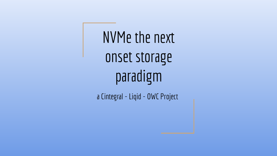NVMe the next onset storage paradigm

a Cintegral - Liqid - OWC Project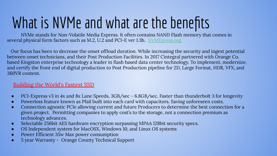## What is NVMe and what are the benefits

NVMe stands for Non-Volatile Media Express. It often contains NAND Flash memory that comes in several physical form factors such as M.2, U.2 and PCI-E ver 1.3b. [NVMEpress.org](https://nvmexpress.org/wp-content/uploads/NVM-Express-1_3b-2018.05.04-ratified.pdf)

 Our focus has been to decrease the onset offload duration. While increasing the security and ingest potential between onset technicians, and their Post Production Facilities. In 2017 Cintegral partnered with Orange Co. based Kingston enterprise technology a leader in flash based data center technology. To implement, modernize, and certify the front end of digital production to Post Production pipeline for 2D, Large Format, HDR, VFX, and 360VR content.

### [Building the World's Fastest SSD](https://www.youtube.com/watch?v=JLAk3IIR9Q4&t=15s)

- PCI-Express v3 in 4x and 8x Lane Speeds. 3GB/sec 6.8GB/sec. Faster than thunderbolt 3 for longevity
- Powerloss feature known as Pfail built into each card with capacitors. Saving unforeseen costs.
- Connection agnostic PCIe allowing current and future Producers to determine the best connection for a given project. Permitting companies to apply cost's to the storage, not a connection premium as technology advances.
- Selectable 256bit AES hardware encryption surpassing MPAA 128bit security specs.
- OS Independent system for MacOSX, Windows 10, and Linux OS systems
- Power Efficient 35w Max power consumption
- 5 year Warranty Orange County Technical Support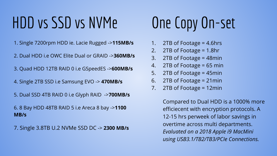# HDD vs SSD vs NVMe One Copy On-set

- 1. Single 7200rpm HDD ie. Lacie Rugged ->**115MB/s**
- 2. Dual HDD i.e OWC Elite Dual or GRAID ->**360MB/s**
- 3. Quad HDD 12TB RAID 0 i.e GSpeedES ->**600MB/s**
- 4. Single 2TB SSD i.e Samsung EVO -> **470MB/s**
- 5. Dual SSD 4TB RAID 0 i.e Glyph RAID ->**700MB/s**

### 6. 8 Bay HDD 48TB RAID 5 i.e Areca 8 bay ->**1100 MB/s**

7. Single 3.8TB U.2 NVMe SSD DC -> **2300 MB/s** 

- 1. 2TB of Footage = 4.6hrs
- 2. 2TB of Footage = 1.8hr
- 3. 2TB of Footage = 48min
- 4. 2TB of Footage = 65 min
- 5. 2TB of Footage = 45min
- 6. 2TB of Footage = 21min
- 7. 2TB of Footage = 12min

Compared to Dual HDD is a 1000% more efficiecent with encryption protocols. A 12-15 hrs perweek of labor savings in overtime across multi departments. *Evaluated on a 2018 Apple i9 MacMini using USB3.1/TB2/TB3/PCIe Connections.*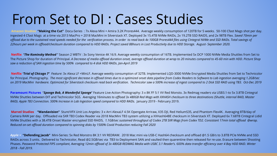### From Set to DI : Cases Studies

**Amazon Studios "Making the Cut"** Docu-Series : 7x Alexa Mini + Amira 3.2K Prores444. Average weekly consumption of 120TB for 5 weeks. 50-100 Cfast Mags shot per day. ingested 4 Cfast Mags at a time via 2013 MacPro + 2018 MacMini in Silverstack XT. Deployed 3x 15.4TB NVMe RAIDs, 2x 19.2TB SSD RAID5, and 2x 98TB Flex. *Saved 70min per offload due to the sustained read speeds needed for the verification process. In order to read back 4x 100GB Prores444 files using CIntegral NVMe and SSD RAIDs. Total savings of 22hours per week in offload/checksum duration compared to HDD RAIDs. Project saved 88hours in Lost Productivity due to HDD Storage. August- September 2020.* 

 **Netflix** "*The Kominsky Method* " Season 2 WBTV : 3x Sony Venice 4K 16:9. Average weekly consumption of 16TB. Implemented 5x DCP 1000 NVMe Media Shuttles from Set to The Picture Shop for duration of Principal. *A Decrease of media offload duration onset, average offload duration at wrap to 20 minutes compared to 45-60 min with HDD. Picture Shop saw a reduction of SAN ingestion time by 500% compared to 4 disk HDD RAIDs. Jan-April 2019*

 **Netflix** *"Trial of Chicago 7" Feature*: 3x Alexa LF +MinLF*.* Average weekly consumption of 32TB. Implemented LQD-3000 NVMe Encrypted Media Shuttles from Set to Technicolor for Principal. Photography. *The most significant decrease in offload times due to a optimized onset data pipeline from Codex Readers to Software to Lab ingestion averaging 1.2GB/sec on 2019 MacMini hardware. Optimized for Silverstack checksum read back verification. Technicolor saw a 500% increase of ingest compared to 2 Disk SSD RAID using TB3. Oct-Dec 2019* 

**Paramount Pictures** "*Sponge Bob, A Wonderful Sponge*" Feature Live-Action Photography: 3 x 8K FF 5:1 VV Red Monsto. 3x Redmag readers via USB3.1-to 5x 3.8TB Cintegral NVMe Shuttles between DIT and Technicolor SGS. *Averaging 16minutes to offload 3x 480GB Red Mags with XXHASH checksum to three destinations (Shuttle, internal RAID, Master RAID). Apple TB3 Connection. 500% Increase in Lab Ingestion speed compared to HDD RAIDs.* January 2019 - February 2019.

**Marvel Studios "Wandavision"** Stunt/VFX Unit Los Angeles: 3 x Arri AlexaLF 4.5K Opengate Arriraw, X35 DJI, Red HeliumS35, and Phantom Flex4K. Averaging 8TB/day of Camera RAW per day. Offloaded via SXR TB3 Codex Reader via 2018 MacMini TB3 system utilizing a XXHash64BE checksum in Silverstack XT. Deployed 6x 7.68TB Cintegral Lidid NVMe Shuttles with a 38.4TB Onset Master encrypted SSD RAID5, *1.1GB/sec sustained throughput of Codex 2TB SXR Mags from Codex TD2. Consistant 17min total offload @wrap. Reduced on-set offload duration compared to spinning disks by 1500% Covid Production reducing Fall 2020*

*Apple +* **"Defending Jacob"** Mini-Series: 5x Red Monstro 8K 3:1 VV REDRAW. 2018 Mac mini via USB-C Hash64 checksum and offload @1.5 GB/s to 3.8TB PCIe NVMe and SSD RAIDs across 3 units. Delivered to Technicolor, Read @2.5GB/sec via TB3 to Deployment SAN and vaulted then quarentine then released for re-use. Erasure between Shooting Phases. *Password Protected FIPS compliant, Averaging 12min offload of 3x 480GB REDMAG Media with USBC 3.1 Reader's.* 600% *data transfer efficiency over 4 Bay HDD RAID. Winter 2018 - Fall 2019.*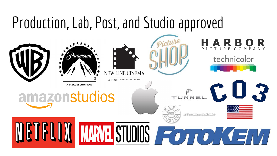### Production, Lab, Post, and Studio approved